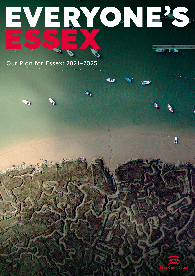# **EVERYONE'S ESSEX**

Œ

Our Plan for Essex: 2021–2025

 $\overline{\mathbf{D}}$ 



 $\mathbf{a}$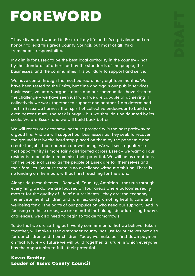## **FOREWORD**

I have lived and worked in Essex all my life and it's a privilege and an honour to lead this great County Council, but most of all it's a tremendous responsibility.

My aim is for Essex to be the best local authority in the country – not by the standards of others, but by the standards of the people, the businesses, and the communities it is our duty to support and serve.

We have come through the most extraordinary eighteen months. We have been tested to the limits, but time and again our public services, businesses, voluntary organisations and our communities have risen to the challenge – we have seen just what we are capable of achieving if collectively we work together to support one another. I am determined that in Essex we harness that spirit of collective endeavour to build an even better future. The task is huge – but we shouldn't be daunted by its scale. We are Essex, and we will build back better.

We will renew our economy, because prosperity is the best pathway to a good life. And we will support our businesses as they seek to recover the ground lost by the hard stop placed on them by the pandemic and create the jobs that underpin our wellbeing. We will seek equality so that opportunity is more fairly distributed across Essex – we want all our residents to be able to maximise their potential. We will be as ambitious for the people of Essex as the people of Essex are for themselves and their families. Because there is no excellence without ambition. There is no landing on the moon, without first reaching for the stars.

Alongside these themes – Renewal, Equality, Ambition - that run through everything we do, we are focused on four areas where outcomes really matter for the quality of life of our residents – they are: the economy; the environment; children and families; and promoting health, care and wellbeing for all the parts of our population who need our support. And in focusing on these areas, we are mindful that alongside addressing today's challenges, we also need to begin to tackle tomorrow's.

To do that we are setting out twenty commitments that we believe, taken together, will make Essex a stronger county, not just for ourselves but also for our children and their children. Today we make our first down payment on that future – a future we will build together, a future in which everyone has the opportunity to fulfil their potential.

#### **Kevin Bentley Leader of Essex County Council**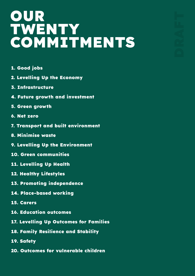### **OUR TWENTY COMMITMENTS**

- **1. Good jobs**
- **2. Levelling Up the Economy**
- **3. Infrastructure**
- **4. Future growth and investment**
- **5. Green growth**
- **6. Net zero**
- **7. Transport and built environment**
- **8. Minimise waste**
- **9. Levelling Up the Environment**
- **10. Green communities**
- **11. Levelling Up Health**
- **12. Healthy Lifestyles**
- **13. Promoting independence**
- **14. Place-based working**
- **15. Carers**
- **16. Education outcomes**
- **17. Levelling Up Outcomes for Families**
- **18. Family Resilience and Stability**
- **19. Safety**
- **20. Outcomes for vulnerable children**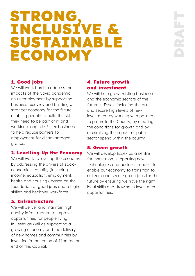### **STRONG, INCLUSIVE & SUSTAINABLE ECONOMY**

#### **1. Good jobs**

We will work hard to address the impacts of the Covid pandemic on unemployment by supporting business recovery and building a stronger economy for the future, enabling people to build the skills they need to be part of it, and working alongside Essex businesses to help reduce barriers to employment for disadvantaged groups.

#### **2. Levelling Up the Economy**

We will work to level up the economy by addressing the drivers of socioeconomic inequality (including income, education, employment, health and housing), based on the foundation of good jobs and a higher skilled and healthier workforce.

#### **3. Infrastructure**

We will deliver and maintain high quality infrastructure to improve opportunities for people living in Essex as well as supporting a growing economy and the delivery of new homes and communities by investing in the region of £1bn by the end of this Council.

#### **4. Future growth and investment**

We will help grow existing businesses and the economic sectors of the future in Essex, including the arts, and secure high levels of new investment by working with partners to promote the County, by creating the conditions for growth and by maximising the impact of public sector spend within the county.

#### **5. Green growth**

We will develop Essex as a centre for innovation, supporting new technologies and business models to enable our economy to transition to net zero and secure green jobs for the future by ensuring we have the right local skills and drawing in investment opportunities.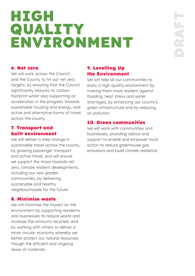### **HIGH QUALITY ENVIRONMENT**

#### **6. Net zero**

We will work across the Council and the County to hit our net zero targets, by ensuring that the Council significantly reduces its carbon footprint whilst also supporting an acceleration in the progress towards sustainable housing and energy, and active and alternative forms of travel across the county.

#### **7. Transport and built environment**

We will deliver a step change in sustainable travel across the county, by growing passenger transport and active travel, and will ensure we support the move towards net zero, climate resilient developments, including our new garden communities, by delivering sustainable and healthy neighbourhoods for the future.

#### **8. Minimise waste**

We will minimise the impact on the environment by supporting residents and businesses to reduce waste and increase the amounts recycled, and by working with others to deliver a more circular economy whereby we better protect our natural resources though the efficient and ongoing reuse of materials.

#### **9. Levelling Up the Environment**

We will help all our communities to enjoy a high-quality environment by making them more resilient against flooding, heat stress and water shortages, by enhancing our county's green infrastructure and by reducing air pollution.

#### **10. Green communities**

We will work with communities and businesses, providing advice and support to enable and empower local action to reduce greenhouse gas emissions and build climate resilience.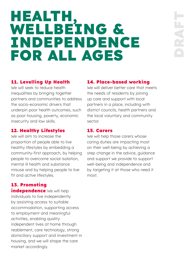### **HEALTH, WELLBEING & INDEPENDENCE FOR ALL AGES**

#### **11. Levelling Up Health**

We will seek to reduce health inequalities by bringing together partners and communities to address the socio-economic drivers that underpin poor health outcomes, such as poor housing, poverty, economic insecurity and low skills.

#### **12. Healthy Lifestyles**

We will aim to increase the proportion of people able to live healthy lifestyles by embedding a community-first approach, by helping people to overcome social isolation, mental ill health and substance misuse and by helping people to live fit and active lifestyles.

#### **13. Promoting**

**independence** We will help individuals to live independently by assisting access to suitable accommodation, supporting access to employment and meaningful activities, enabling quality independent lives at home through reablement, care technology, strong domiciliary support and investment in housing, and we will shape the care market accordingly.

#### **14. Place-based working**

We will deliver better care that meets the needs of residents by joining up care and support with local partners in a place, including with district councils, health partners and the local voluntary and community sector.

#### **15. Carers**

We will help those carers whose caring duties are impacting most on their well-being by achieving a step change in the advice, guidance and support we provide to support well-being and independence and by targeting it at those who need it most.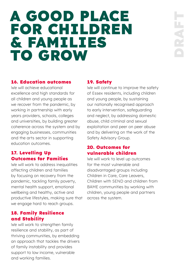### **A GOOD PLACE FOR CHILDREN & FAMILIES TO GROW**

#### **16. Education outcomes**

We will achieve educational excellence and high standards for all children and young people as we recover from the pandemic, by working in partnership with early years providers, schools, colleges and universities, by building greater coherence across the system and by engaging businesses, communities and the arts sector in supporting education outcomes.

#### **17. Levelling Up Outcomes for Families**

We will work to address inequalities affecting children and families by focusing on recovery from the pandemic, tackling family poverty, mental health support, emotional wellbeing and healthy, active and productive lifestyles, making sure that we engage hard to reach groups.

#### **18. Family Resilience and Stability**

We will work to strengthen family resilience and stability, as part of thriving communities, by embedding an approach that tackles the drivers of family instability and provides support to low income, vulnerable and working families.

#### **19. Safety**

We will continue to improve the safety of Essex residents, including children and young people, by sustaining our nationally recognised approach to early intervention, safeguarding and neglect, by addressing domestic abuse, child criminal and sexual exploitation and peer on peer abuse and by delivering on the work of the Safety Advisory Group.

#### **20. Outcomes for vulnerable children**

We will work to level up outcomes for the most vulnerable and disadvantaged groups including Children in Care, Care Leavers, Children with SEND and children from BAME communities by working with children, young people and partners across the system.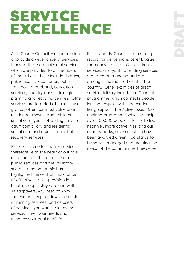### **SERVICE EXCELLENCE**

As a County Council, we commission or provide a wide range of services. Many of these are universal services which are provided to all members of the public. These include libraries, public health, local roads, public transport, broadband, education services, country parks, strategic planning and recycling centres. Other services are targeted at specific user groups, often our most vulnerable residents. These include children's social care, youth offending services, adult domiciliary and residential social care and drug and alcohol recovery services.

Excellent, value for money services therefore lie at the heart of our role as a council. The response of all public services and the voluntary sector to the pandemic has highlighted the central importance of effective service provision in helping people stay safe and well. As taxpayers, you need to know that we are keeping down the costs of running services; and as users of services, you want to know that services meet your needs and enhance your quality of life.

Essex County Council has a strong record for delivering excellent, value for money services. Our children's services and youth offending services are rated outstanding and are amongst the most efficient in the country. Other examples of great service delivery include the Connect programme, which connects people leaving hospital with independent living support; the Active Essex Sport England programme, which will help over 400,000 people in Essex to live healthier, more active lives; and our country parks, seven of which have been awarded Green Flag status for being well managed and meeting the needs of the communities they serve.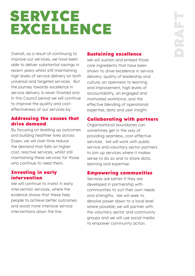### **SERVICE EXCELLENCE**

Overall, as a result of continuing to improve our services, we have been able to deliver substantial savings in recent years whilst still maintaining high levels of service delivery on both universal and targeted services. But the journey towards excellence in service delivery is never finished and in this Council period we will continue to improve the quality and costeffectiveness of our services by:

#### **Addressing the causes that drive demand**

By focusing on levelling up outcomes and building healthier lives across Essex, we will over time reduce the demand that falls on higher cost, reactive services, whilst still maintaining these services for those who continue to need them.

#### **Investing in early intervention**

We will continue to invest in early intervention services, where the evidence shows that these help people to achieve better outcomes and avoid more intensive service interventions down the line.

#### **Sustaining excellence**

We will sustain and embed those core ingredients that have been shown to drive excellence in service delivery: quality of leadership and culture, an openness to learning and improvement, high levels of accountability, an engaged and motivated workforce, and the effective blending of operational expertise, data and user insight.

#### **Collaborating with partners**

Organisational boundaries can sometimes get in the way of providing seamless, cost-effective services. We will work with public service and voluntary sector partners to join up services where it makes sense to do so and to share data, learning and expertise.

#### **Empowering communities**

Services are better if they are developed in partnership with communities to suit their own needs and strengths. We will seek to devolve power down to a local level where possible, we will partner with the voluntary sector and community groups and we will use social media to empower community action.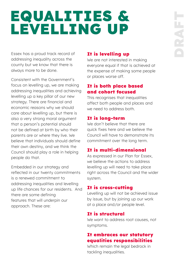### **EQUALITIES & LEVELLING UP**

Essex has a proud track record of addressing inequality across the county but we know that there is always more to be done.

Consistent with the Government's focus on levelling up, we are making addressing inequalities and achieving levelling up a key pillar of our new strategy. There are financial and economic reasons why we should care about levelling up, but there is also a very strong moral argument that a person's potential should not be defined at birth by who their parents are or where they live. We believe that individuals should define their own destiny, and we think the Council should play a role in helping people do that.

Embedded in our strategy and reflected in our twenty commitments is a renewed commitment to addressing inequalities and levelling up life chances for our residents. And there are some defining features that will underpin our approach. These are:

#### **It is levelling up**

We are not interested in making everyone equal if that is achieved at the expense of making some people or places worse off.

#### **It is both place based and cohort focused**

This recognises that inequalities affect both people and places and we need to address both.

#### **It is long-term**

We don't believe that there are quick fixes here and we believe the Council will have to demonstrate its commitment over the long term.

### **It is multi-dimensional**

As expressed in our Plan for Essex, we believe the actions to address levelling up will need to take place right across the Council and the wider system.

#### **It is cross-cutting**

Levelling up will not be achieved issue by issue, but by joining up our work at a place and/or people level.

#### **It is structural**

We want to address root causes, not symptoms.

#### **It embraces our statutory equalities responsibilities**

Which remain the legal bedrock in tackling inequalities.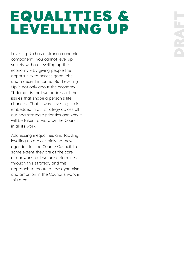### **EQUALITIES & LEVELLING UP**

Levelling Up has a strong economic component. You cannot level up society without levelling up the economy – by giving people the opportunity to access good jobs and a decent income. But Levelling Up is not only about the economy. It demands that we address all the issues that shape a person's life chances. That is why Levelling Up is embedded in our strategy across all our new strategic priorities and why it will be taken forward by the Council in all its work.

Addressing inequalities and tackling levelling up are certainly not new agendas for the County Council, to some extent they are at the core of our work, but we are determined through this strategy and this approach to create a new dynamism and ambition in the Council's work in this area.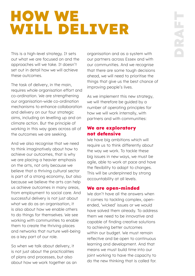### **HOW WE WILL DELIVER**

This is a high-level strategy. It sets out what we are focused on and the approaches will we take. It doesn't set out in detail how we will achieve these outcomes.

The task of delivery, in the main, requires whole organisation effort and co-ordination. We are strengthening our organisation-wide co-ordination mechanisms to enhance collaboration and delivery on our four strategic aims, including on levelling up and on climate action. But the principle of working in this way goes across all of the outcomes we are seeking.

And we also recognise that we need to think imaginatively about how to achieve our outcomes, that is why we are placing a heavier emphasis on the arts, not only because we believe that a thriving cultural sector is part of a strong economy, but also because we believe the arts can help us achieve outcomes in many areas, from employment to social care. And successful delivery is not just about what we do as an organisation, it is also about how we enable others to do things for themselves. We see working with communities to enable them to create the thriving places and networks that nurture well-being as a key part of our role.

So when we talk about delivery, it is not just about the practicalities of plans and processes, but also about how we work together as an organisation and as a system with our partners across Essex and with our communities. And we recognise that there are some tough decisions ahead, we will need to prioritise the things that give us the best chance of improving people's lives.

As we implement this new strategy, we will therefore be guided by a number of operating principles for how we will work internally, with partners and with communities:

#### **We are exploratory not defensive**

We have big ambitions which will require us to think differently about the way we work. To tackle these big issues in new ways, we must be agile, able to work at pace and have the flexibility to adapt to changes. This will be underpinned by strong accountability at all levels.

#### **We are open-minded**

We don't have all the answers when it comes to tackling complex, openended, 'wicked' issues or we would have solved them already. To address them we need to be innovative and capable of finding creative solutions to achieving better outcomes within our budget. We must remain reflective and be open to continuous learning and development. And that means we must build time into our joint working to have the capacity to do the new thinking that is called for.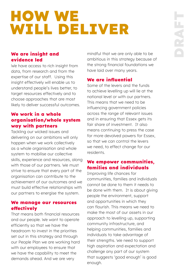### **HOW WE WILL DELIVER**

#### **We are insight and evidence led**

We have access to rich insight from data, from research and from the expertise of our staff. Using this insight effectively will enable us to understand people's lives better, to target resources effectively and to choose approaches that are most likely to deliver successful outcomes.

#### **We work in a whole organisation/whole system way with partners**

Tackling our wicked issues and delivering on our ambitions will only happen when we work collectively as a whole organisation and whole system to mobilise our collective skills, experience and resources, along with those of our partners. We must strive to ensure that every part of the organisation can contribute to the achievement of our outcomes and we must build effective relationships with our partners to energise the system.

#### **We manage our resources effectively**

That means both financial resources and our people. We want to operate efficiently so that we have the headroom to invest in the priorities set out in this strategy and through our People Plan we are working hard with our employees to ensure that we have the capability to meet the demands ahead. And we are very

mindful that we are only able to be ambitious in this strategy because of the strong financial foundations we have laid over many years.

#### **We are influential**

Some of the levers and the funds to achieve levelling up will lie at the national level or with our partners. This means that we need to be influencing government policies across the range of relevant issues and in ensuring that Essex gets its fair share of investment. It also means continuing to press the case for more devolved powers for Essex, so that we can control the levers we need, to effect change for our residents.

#### **We empower communities, families and individuals**

Improving life chances for communities, families and individuals cannot be done to them it needs to be done with them. It is about giving people the environment, support and opportunities in which they can flourish. This means we need to make the most of our assets in our approach to levelling up, supporting community infrastructure, and helping communities, families and individuals to take advantage of their strengths. We need to support high aspiration and expectation and challenge any part of our system that suggests 'good enough' is good enough.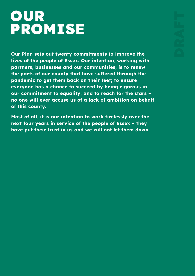### **OUR PROMISE**

**Our Plan sets out twenty commitments to improve the lives of the people of Essex. Our intention, working with partners, businesses and our communities, is to renew the parts of our county that have suffered through the pandemic to get them back on their feet; to ensure everyone has a chance to succeed by being rigorous in our commitment to equality; and to reach for the stars – no one will ever accuse us of a lack of ambition on behalf of this county.** 

**Most of all, it is our intention to work tirelessly over the next four years in service of the people of Essex – they have put their trust in us and we will not let them down.**